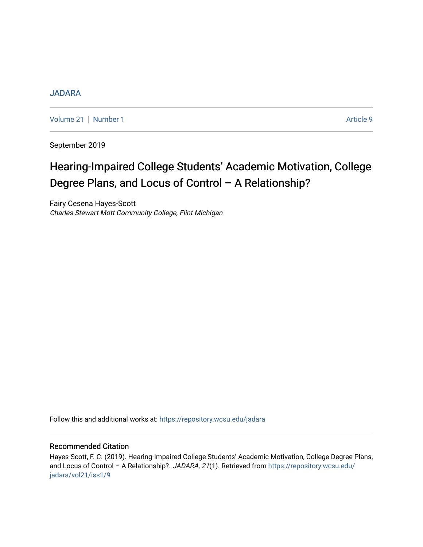## [JADARA](https://repository.wcsu.edu/jadara)

[Volume 21](https://repository.wcsu.edu/jadara/vol21) | [Number 1](https://repository.wcsu.edu/jadara/vol21/iss1) Article 9

September 2019

# Hearing-Impaired College Students' Academic Motivation, College Degree Plans, and Locus of Control – A Relationship?

Fairy Cesena Hayes-Scott Charles Stewart Mott Community College, Flint Michigan

Follow this and additional works at: [https://repository.wcsu.edu/jadara](https://repository.wcsu.edu/jadara?utm_source=repository.wcsu.edu%2Fjadara%2Fvol21%2Fiss1%2F9&utm_medium=PDF&utm_campaign=PDFCoverPages)

## Recommended Citation

Hayes-Scott, F. C. (2019). Hearing-Impaired College Students' Academic Motivation, College Degree Plans, and Locus of Control - A Relationship?. JADARA, 21(1). Retrieved from [https://repository.wcsu.edu/](https://repository.wcsu.edu/jadara/vol21/iss1/9?utm_source=repository.wcsu.edu%2Fjadara%2Fvol21%2Fiss1%2F9&utm_medium=PDF&utm_campaign=PDFCoverPages) [jadara/vol21/iss1/9](https://repository.wcsu.edu/jadara/vol21/iss1/9?utm_source=repository.wcsu.edu%2Fjadara%2Fvol21%2Fiss1%2F9&utm_medium=PDF&utm_campaign=PDFCoverPages)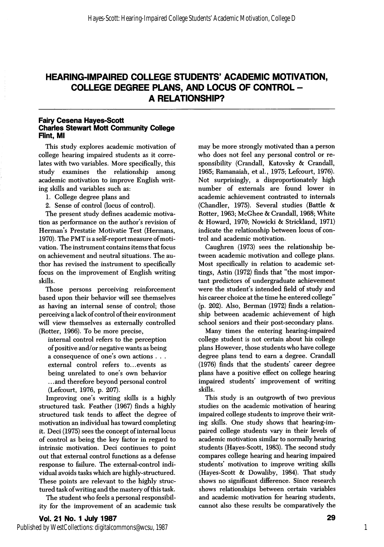# HEARING-IMPAIRED COLLEGE STUDENTS' ACADEMIC MOTIVATION, COLLEGE DEGREE PLANS, AND LOCUS OF CONTROL - A RELATIONSHIP?

#### Fairy Cesena Hayes-Scott Charles Stewart Mott Community College Rint, Ml

This study explores academic motivation of college hearing impaired students as it corre lates with two variables. More specifically, this study examines the relationship among academic motivation to improve English writ ing skills and variables such as:

- 1. College degree plans and
- 2. Sense of control (locus of control).

The present study defines academic motiva tion as performance on the author's revision of Herman's Prestatie Motivatie Test (Hermans, 1970). The PMT is a self-report measure of moti vation. The instrument contains items that focus on achievement and neutral situations. The au thor has revised the instrument to specifically focus on the improvement of English writing skills.

Those persons perceiving reinforcement based upon their behavior will see themselves as having an internal sense of control; those perceiving a lack of control of their environment will view themselves as externally controlled (Rotter, 1966). To be more precise,

internal control refers to the perception of positive and/or negative wants as being a consequence of one's own actions . . . external control refers to...events as being unrelated to one's own behavior ...and therefore beyond personal control (Lefcourt, 1976, p. 207).

Improving one's writing skills is a highly structured task. Feather (1967) finds a highly structured task tends to affect the degree of motivation an individual has toward completing it. Deci (1975) sees the concept of internal locus of control as being the key factor in regard to intrinsic motivation. Deci continues to point out that external control functions as a defense response to failure. The external-control indi vidual avoids tasks which are highly-structured. These points are relevant to the highly struc tured task ofwriting and the mastery of this task.

The student who feels a personal responsibil ity for the improvement of an academic task

may be more strongly motivated than a person who does not feel any personal control or re sponsibility (Crandall, Katovsky & Crandall, 1965; Ramanaiah, et al., 1975; Lefcourt, 1976). Not surprisingly, a disproportionately high number of externals are found lower in academic achievement contrasted to internals (Chandler, 1975). Several studies (Battle & Rotter, 1963; McGhee & Crandall, 1968; White & Howard, 1970; Nowicki & Strickland, 1971) indicate the relationship between locus of con trol and academic motivation.

Caughren (1973) sees the relationship be tween academic motivation and college plans. Most specifically in relation to academic set tings, Astin (1972) finds that "the most impor tant predictors of undergraduate achievement were the student's intended field of study and his career choice at the time he entered college"  $(p. 202)$ . Also, Berman  $(1972)$  finds a relationship between academic achievement of high school seniors and their post-secondary plans.

Many times the entering hearing-impaired college student is not certain about his college plans However, those students who have college degree plans tend to earn a degree. Crandall (1976) finds that the students' career degree plans have a positive effect on college hearing impaired students' improvement of writing skills.

This study is an outgrowth of two previous studies on the academic motivation of hearing impaired college students to improve their writ ing skills. One study shows that hearing-im paired college students vary in their levels of academic motivation similar to normally hearing students (Hayes-Scott, 1983). The second study compares college hearing and hearing impaired students' motivation to improve writing skills (Hayes-Scott & Dowaliby, 1984). That study shows no significant difierence. Since research shows relationships between certain variables and academic motivation for hearing students, cannot also these results be comparatively the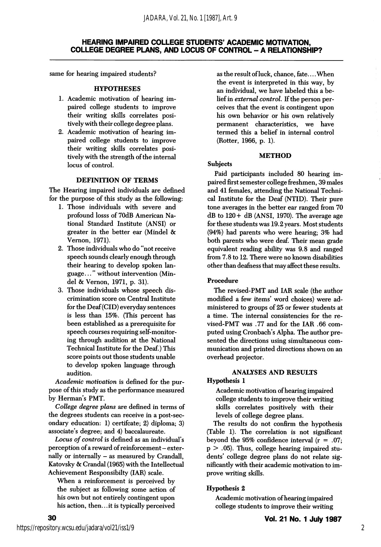## HEARING IMPAIRED COLLEGE STUDENTS' ACADEMIC MOTIVATION, COLLEGE DEGREE PLANS, AND LOCUS OF CONTROL - A RELATIONSHIP?

same for hearing impaired students?

#### **HYPOTHESES**

- 1. Academic motivation of hearing im paired college students to improve their writing skills correlates posi tively with their college degree plans.
- 2. Academic motivation of hearing im paired college students to improve their writing skills correlates posi tively with the strength of the internal locus of control.

#### DEFINITION OF TERMS

The Hearing impaired individuals are defined for the purpose of this study as the following:

- 1. Those individuals with severe and profound losss of 70dB American Na tional Standard Institute (ANSI) or greater in the better ear (Mindel & Vemon, 1971).
- 2. Those individuals who do "not receive speech sounds clearly enough through their hearing to develop spoken lan guage. .." without intervention (Min del & Vemon, 1971, p. 31).
- 3. Those individuals whose speech dis crimination score on Central Institute for the Deaf (CID) everyday sentences is less than 15%. (This percent has been established as a prerequisite for speech courses requiring self-monitor ing through audition at the National Technical Institute for the Deaf.) This score points out those students unable to develop spoken language through audition.

Academic motivation is defined for the pur pose of this study as the performance measured by Herman's PMT.

College degree plans are defined in terms of the degrees students can receive in a post-sec ondary education: 1) certifcate; 2) diploma; 3) associate's degree; and 4) baccalaureate.

Locus of control is defined as an individual's perception of a reward of reinforcement - externally or internally - as measured by Crandall, Katovsky & Crandal (1965) with the Intellectual Achievement Responsibilty (lAR) scale.

When a reinforcement is perceived by the subject as following some action of his own but not entirely contingent upon his action, then.. .it is typically perceived

as the result of luck, chance, fate.... When the event is interpreted in this way, by an individual, we have labeled this a be lief in external control. If the person per ceives that the event is contingent upon his own behavior or his own relatively permanent characteristics, we have termed this a belief in internal control (Rotter, 1966, p. 1).

#### **METHOD**

#### Subjects

Paid participants included 80 hearing im paired first semester college freshmen, 39 males and 41 females, attending the National Techni cal Institute for the Deaf (NTID). Their pure tone averages in the better ear ranged from 70  $dB$  to  $120 + dB$  (ANSI, 1970). The average age for these students was 19.2 years. Most students (94%) had parents who were hearing; 3% had both parents who were deaf. Their mean grade equivalent reading ability was 9.8 and ranged from 7.8 to 12. There were no known disabilities other than deafness that may affect these results.

#### Procedure

The revised-PMT and lAR scale (the author modified a few items' word choices) were ad ministered to groups of 25 or fewer students at a time. The internal consistencies for the re vised-PMT was .77 and for the lAR .66 com puted using Cronbach's Alpha. The author pre sented the directions using simultaneous com munication and printed directions shown on an overhead projector.

# ANALYSES AND RESULTS

## Hypothesis 1

Academic motivation of hearing impaired college students to improve their writing skills correlates positively with their levels of college degree plans.

The results do not confirm the hypothesis (Table 1). The correlation is not significant beyond the 95% confidence interval  $(r = .07;$  $p > .05$ ). Thus, college hearing impaired students' college degree plans do not relate sig nificantly with their academic motivation to im prove writing skills.

#### Hypothesis 2

Academic motivation of hearing impaired college students to improve their writing

30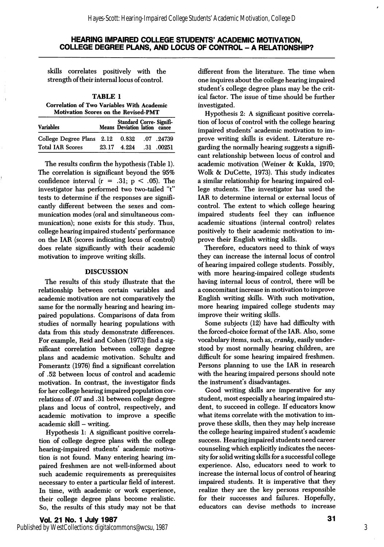## HEARING IMPAIRED COLLEGE STUDENTS' ACADEMIC MOTIVATION, COLLEGE DEGREE PLANS, AND LOCUS OF CONTROL - A RELATIONSHIP?

skills correlates positively with the strength of their internal locus of control.

TABLE 1 Correlation of Two Variables With Academic Motivation Scores on the Revised-PMT

| <b>Variables</b>                |       | Standard Corre-Signifi-<br>Means Deviation lation cance |            |
|---------------------------------|-------|---------------------------------------------------------|------------|
| College Degree Plans 2.12 0.832 |       |                                                         | .07.24739  |
| <b>Total IAR Scores</b>         | 23.17 | 4.224                                                   | .31 .00251 |

The results confirm the hypothesis (Table 1). The correlation is significant beyond the 95% confidence interval  $(r = .31; p < .05)$ . The investigator has performed two two-tailed "t" tests to determine if the responses are signifi cantly different between the sexes and com munication modes (oral and simultaneous com munication); none exists for this study. Thus, college hearing impaired students' performance on the lAR (scores indicating locus of control) does relate significantly with their academic motivation to improve writing skills.

#### DISCUSSION

The results of this study illustrate that the relationship between certain variables and academic motivation are not comparatively the same for the normally hearing and hearing im paired populations. Comparisons of data from studies of normally hearing populations with data from this study demonstrate differences. For example, Reid and Cohen (1973) find a sig nificant correlation between college degree plans and academic motivation. Schultz and Pomerantz (1976) find a significant correlation of .52 between locus of control and academic motivation. In contrast, the investigator finds for her college hearing impaired population cor relations of .07 and .31 between college degree plans and locus of control, respectively, and academic motivation to improve a specific academic skill - writing.

Hypothesis 1: A significant positive correla tion of college degree plans with the college hearing-impaired students' academic motiva tion is not found. Many entering hearing im paired freshmen are not well-informed about such academic requirements as prerequisites necessary to enter a particular field of interest. In time, with academic or work experience, their college degree plans become realistic. So, the results of this study may not be that different from the literature. The time when one inquires about the college hearing impaired student's college degree plans may be the crit ical factor. The issue of time should be further investigated.

Hypothesis 2: A significant positive correla tion of locus of control with the college hearing impaired students' academic motivation to im prove writing skills is evident. Literature re garding the normally hearing suggests a signifi cant relationship between locus of control and academic motivation (Weiner & Kukla, 1970; Wolk & DuCette, 1973). This study indicates a similar relationship for hearing impaired col lege students. The investigator has used the lAR to determine internal or external locus of control. The extent to which college hearing impaired students feel they can influence academic situations (internal control) relates positively to their academic motivation to im prove their English writing skills.

Therefore, educators need to think of ways they can increase the internal locus of control of hearing impaired college students. Possibly, with more hearing-impaired college students having internal locus of control, there will be a concomitant increase in motivation to improve English writing skills. With such motivation, more hearing impaired college students may improve their writing skills.

Some subjects (12) have had difficulty with the forced-choice format of the lAR. Also, some vocabulary items, such as, cranky, easily under stood by most normally hearing children, are difficult for some hearing impaired freshmen. Persons planning to use the lAR in research with the hearing impaired persons should note the instrument's disadvantages.

Good writing skills are imperative for any student, most especially a hearing impaired stu dent, to succeed in college. If educators know what items correlate with the motivation to im prove these skills, then they may help increase the college hearing impaired student's academic success. Hearing impaired students need career counseling which explicitly indicates the neces sity for solid writing skills for a successful college experience. Also, educators need to work to increase the internal locus of control of hearing impaired students. It is imperative that they realize they are the key persons responsible for their successes and failures. Hopefully, educators can devise methods to increase